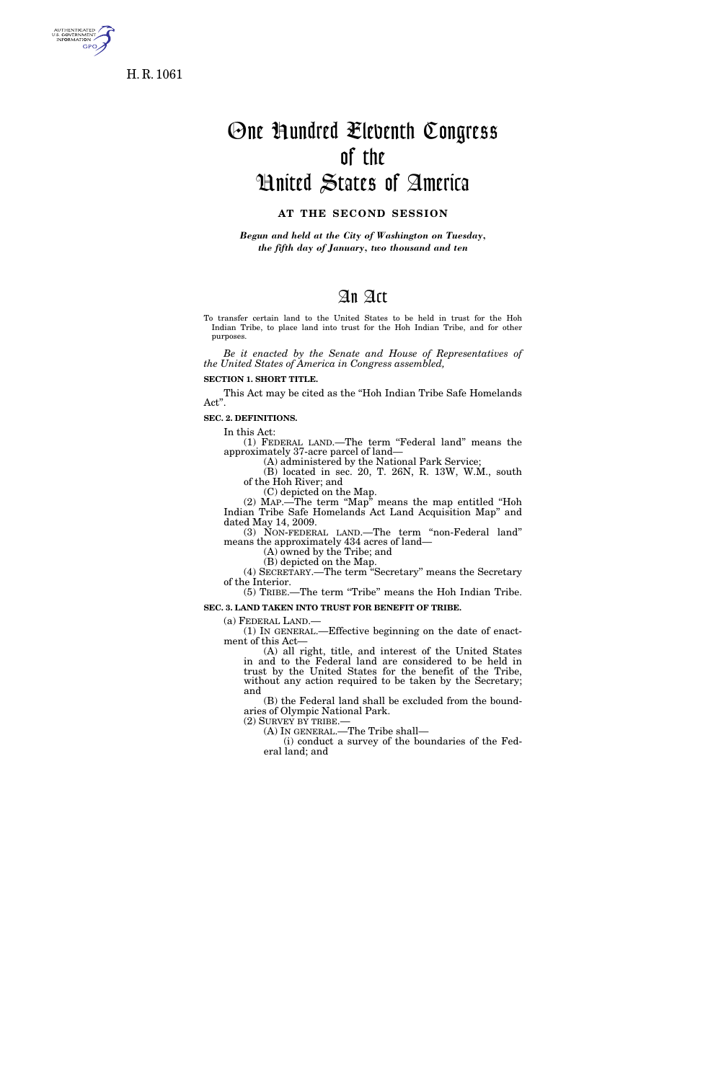

**GPO** 

# One Hundred Eleventh Congress of the United States of America

## **AT THE SECOND SESSION**

*Begun and held at the City of Washington on Tuesday, the fifth day of January, two thousand and ten* 

### An Act

To transfer certain land to the United States to be held in trust for the Hoh Indian Tribe, to place land into trust for the Hoh Indian Tribe, and for other purposes.

*Be it enacted by the Senate and House of Representatives of the United States of America in Congress assembled,* 

**SECTION 1. SHORT TITLE.** 

This Act may be cited as the ''Hoh Indian Tribe Safe Homelands Act''.

**SEC. 2. DEFINITIONS.** 

In this Act:

(1) FEDERAL LAND.—The term ''Federal land'' means the approximately 37-acre parcel of land—

(A) administered by the National Park Service;

(B) located in sec. 20, T. 26N, R. 13W, W.M., south of the Hoh River; and

(C) depicted on the Map.

(2) MAP.—The term ''Map'' means the map entitled ''Hoh Indian Tribe Safe Homelands Act Land Acquisition Map'' and dated May 14, 2009.

(3) NON-FEDERAL LAND.—The term ''non-Federal land'' means the approximately 434 acres of land—

(A) owned by the Tribe; and

(B) depicted on the Map. (4) SECRETARY.—The term ''Secretary'' means the Secretary

of the Interior. (5) TRIBE.—The term ''Tribe'' means the Hoh Indian Tribe.

**SEC. 3. LAND TAKEN INTO TRUST FOR BENEFIT OF TRIBE.** 

(a) FEDERAL LAND.—

(1) IN GENERAL.—Effective beginning on the date of enactment of this Act—

(A) all right, title, and interest of the United States in and to the Federal land are considered to be held in trust by the United States for the benefit of the Tribe, without any action required to be taken by the Secretary; and

(B) the Federal land shall be excluded from the boundaries of Olympic National Park.<br>(2) SURVEY BY TRIBE.—

(A) IN GENERAL.—The Tribe shall—

(i) conduct a survey of the boundaries of the Federal land; and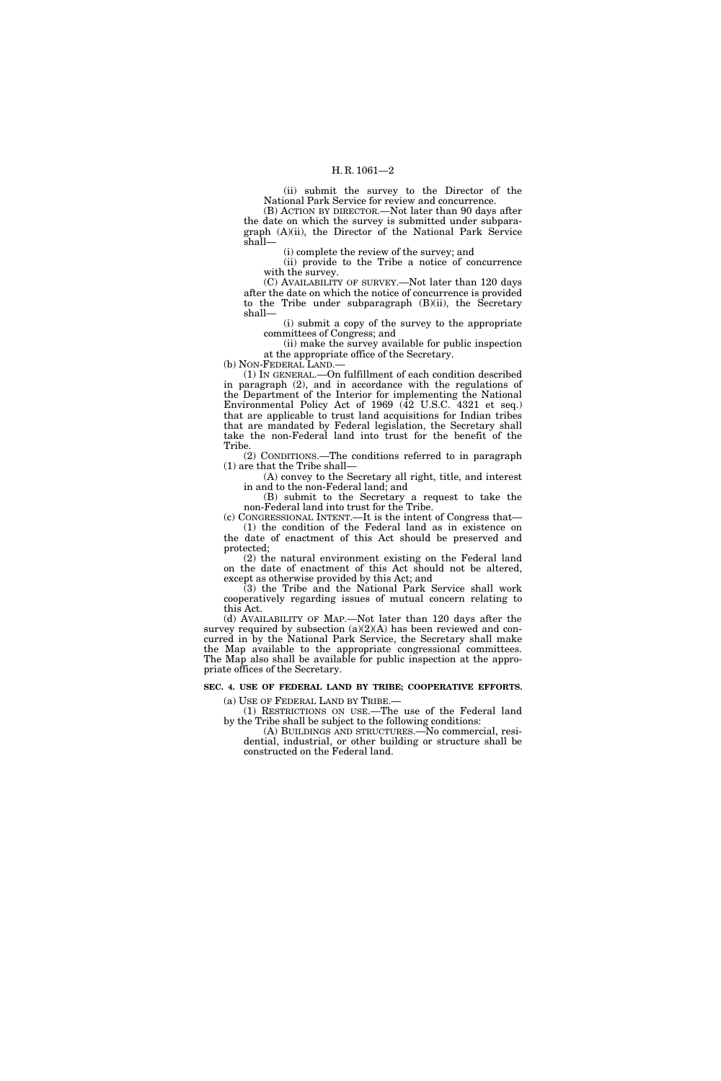#### H. R. 1061—2

(ii) submit the survey to the Director of the National Park Service for review and concurrence.

(B) ACTION BY DIRECTOR.—Not later than 90 days after the date on which the survey is submitted under subparagraph (A)(ii), the Director of the National Park Service shall—

(i) complete the review of the survey; and

(ii) provide to the Tribe a notice of concurrence with the survey.

(C) AVAILABILITY OF SURVEY.—Not later than 120 days after the date on which the notice of concurrence is provided to the Tribe under subparagraph (B)(ii), the Secretary shall—

(i) submit a copy of the survey to the appropriate committees of Congress; and

(ii) make the survey available for public inspection at the appropriate office of the Secretary.

(b) NON-FEDERAL LAND.—

(1) IN GENERAL.—On fulfillment of each condition described in paragraph (2), and in accordance with the regulations of the Department of the Interior for implementing the National Environmental Policy Act of 1969 (42 U.S.C. 4321 et seq.) that are applicable to trust land acquisitions for Indian tribes that are mandated by Federal legislation, the Secretary shall take the non-Federal land into trust for the benefit of the Tribe.

(2) CONDITIONS.—The conditions referred to in paragraph (1) are that the Tribe shall—

(A) convey to the Secretary all right, title, and interest in and to the non-Federal land; and

(B) submit to the Secretary a request to take the non-Federal land into trust for the Tribe.

(c) CONGRESSIONAL INTENT.—It is the intent of Congress that— (1) the condition of the Federal land as in existence on the date of enactment of this Act should be preserved and protected;

(2) the natural environment existing on the Federal land on the date of enactment of this Act should not be altered, except as otherwise provided by this Act; and

(3) the Tribe and the National Park Service shall work cooperatively regarding issues of mutual concern relating to this Act.

(d) AVAILABILITY OF MAP.—Not later than 120 days after the survey required by subsection  $(a)(2)(A)$  has been reviewed and concurred in by the National Park Service, the Secretary shall make the Map available to the appropriate congressional committees. The Map also shall be available for public inspection at the appropriate offices of the Secretary.

#### **SEC. 4. USE OF FEDERAL LAND BY TRIBE; COOPERATIVE EFFORTS.**

(a) USE OF FEDERAL LAND BY TRIBE.—

(1) RESTRICTIONS ON USE.—The use of the Federal land by the Tribe shall be subject to the following conditions:

(A) BUILDINGS AND STRUCTURES.—No commercial, residential, industrial, or other building or structure shall be constructed on the Federal land.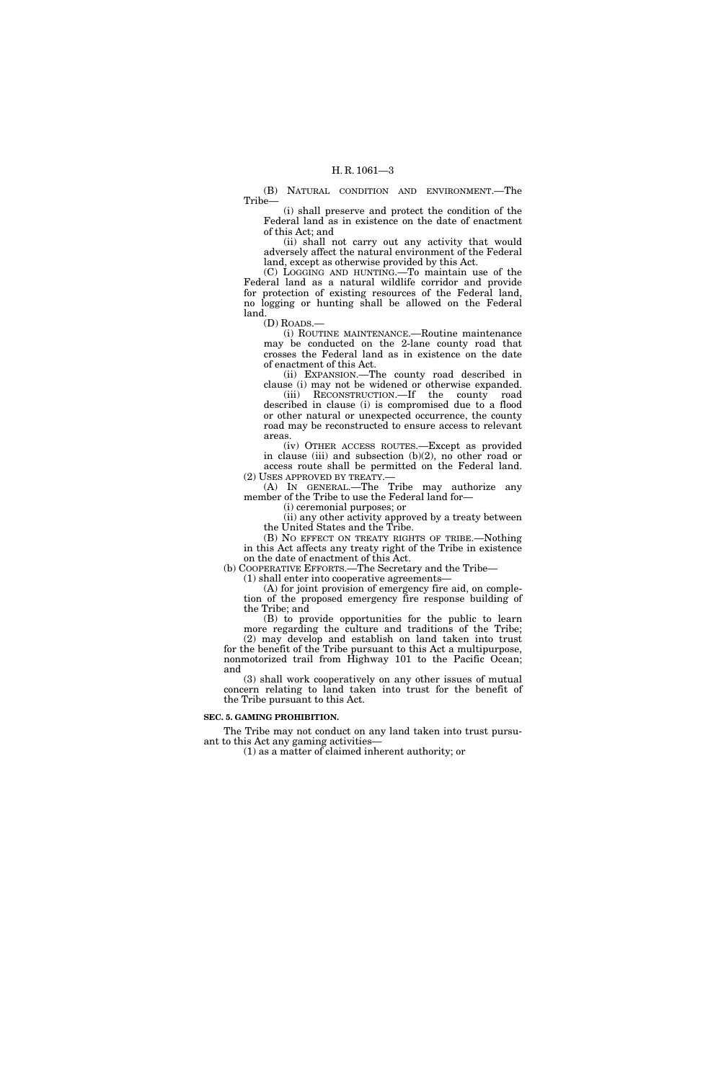(B) NATURAL CONDITION AND ENVIRONMENT.—The Tribe—

(i) shall preserve and protect the condition of the Federal land as in existence on the date of enactment of this Act; and

(ii) shall not carry out any activity that would adversely affect the natural environment of the Federal land, except as otherwise provided by this Act.

(C) LOGGING AND HUNTING.—To maintain use of the Federal land as a natural wildlife corridor and provide for protection of existing resources of the Federal land, no logging or hunting shall be allowed on the Federal land.

(D) ROADS.—

(i) ROUTINE MAINTENANCE.—Routine maintenance may be conducted on the 2-lane county road that crosses the Federal land as in existence on the date of enactment of this Act.

(ii) EXPANSION.—The county road described in clause (i) may not be widened or otherwise expanded. (iii) RECONSTRUCTION.—If the county road described in clause (i) is compromised due to a flood or other natural or unexpected occurrence, the county road may be reconstructed to ensure access to relevant areas.

(iv) OTHER ACCESS ROUTES.—Except as provided in clause (iii) and subsection (b)(2), no other road or access route shall be permitted on the Federal land. (2) USES APPROVED BY TREATY.—

(A) IN GENERAL.—The Tribe may authorize any member of the Tribe to use the Federal land for—

(i) ceremonial purposes; or

(ii) any other activity approved by a treaty between the United States and the Tribe.

(B) NO EFFECT ON TREATY RIGHTS OF TRIBE.—Nothing in this Act affects any treaty right of the Tribe in existence on the date of enactment of this Act.

(b) COOPERATIVE EFFORTS.—The Secretary and the Tribe—

(1) shall enter into cooperative agreements—

(A) for joint provision of emergency fire aid, on completion of the proposed emergency fire response building of the Tribe; and

(B) to provide opportunities for the public to learn more regarding the culture and traditions of the Tribe; (2) may develop and establish on land taken into trust for the benefit of the Tribe pursuant to this Act a multipurpose,

nonmotorized trail from Highway 101 to the Pacific Ocean; and (3) shall work cooperatively on any other issues of mutual

concern relating to land taken into trust for the benefit of the Tribe pursuant to this Act.

#### **SEC. 5. GAMING PROHIBITION.**

The Tribe may not conduct on any land taken into trust pursuant to this Act any gaming activities—

(1) as a matter of claimed inherent authority; or